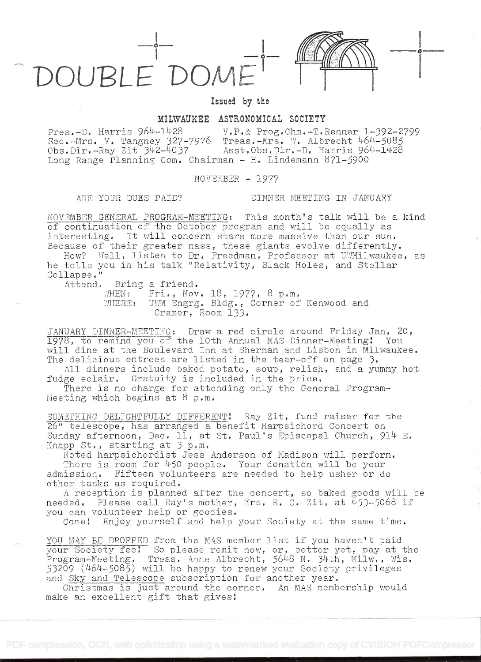DOUPLE'DOME



i kacamatan ing Kabupatèn Kabupatèn Kabupatèn Kabupatèn Kabupatèn Kabupatèn Kabupatèn Kabupatèn Kabupatèn Kabu

Issued by the

## MILWAUKEE ASTRONOMICAL SOCIETY

Pres.-D. Harris 964-1428 V.P.& Prog.Chm.-T.Renner 1-392-2799 Sec.-Mrs. V. Tangney 327-7976 Treas.-Mrs. W. Albrecht 464-5085<br>Obs.Dir.-Ray Zit 342-4037 Asst.Obs.Dir.-D. Harris 964-1428 Asst,Obs,Dir.-D. Harris 964-1428 Long Range Planning Com. Chairman - H. Lindemann 871-5900

 $NOV$ EMBER  $-1977$ 

## ARE YOUR DUES PAID? DINNER MEETING IN JANUARY

NOVEMBER GENERAL PROGRAM-MEETING: This month's talk will be a kind of continuation of the October program and will be equally as interesting. It will concern stars more massive than our sun. Because of their greater mass, these giants evolve differently.

How? Well, listen to Dr. Freedman, Professor at UWMilwaukee, as he tells you in his talk "Relativity, Black Holes, and Stellar<br>Collapse."

Attend. Bring a friend.<br>WHEN: Fri., Nov. 18, 1977, 8 p.m.

WHERE: UWM Engrg. Bldg., Corner of Kenwood and Cramer, Room 133.

JANUARY DINNER-MEETING: Draw a red circle around Friday Jan. 20,<br>1978, to remind you of the 10th Annual MAS Dinner-Meeting: You will dine at the Boulevard Inn at Sherman and Lisbon in Milwaukee. The delicious entrees are listed in the tear-off on page 3.

All dinners include baked potato, soup, relish, and a yummy hot fudge eclair. Gratuity is included in the price.

There is no charge for attending only the General Program-Meeting which begins at 8 p.m.

SOMETHING DELIGHTFULLY DIFFERENT! Ray Zit, fund raiser for the 26" telescope, has arranged a benefit Harpsichord Concert on Sunday afternoon, Dec. 11, at St. Paul's Episcopal Church, 914 E.<br>Knapp St., starting at 3 p.m.

Noted harpsichordist Jess Anderson of Madison will perform.<br>There is room for 450 people. Your donation will be your<br>admission. Fifteen volunteers are needed to help usher or do other tasks as required.

<sup>A</sup>reception is planned after the concert, so baked goods will be needed. Please call Ray's mother, Mrs. R. C. Zit, at 453-5068 if you can volunteer help or goodies.

Come! Enjoy yourself and help your Society at the same time.

YOU MAY BE DROPPED from the MAS member list if you haven't paid your Society fee! So please remit now, or, Program-Meeting. Treas. Anne Albrecht, 110gram-Acc-511g. Titus. Anne Arbrecht, 5010 N. J. M., Arra, Wr.<br>53209 (464-5085) will be happy to renew your Society privileges<br>and <u>Sky and Telescope</u> subscription for another year. and Sky and Telescope subscription for another year. or, better yet, pay at the  $5648$  N.  $34th$ ,  $Milw$ .,  $Wis$ ,

Christmas is just around the corner. An MAS membership would make an excellent gift that gives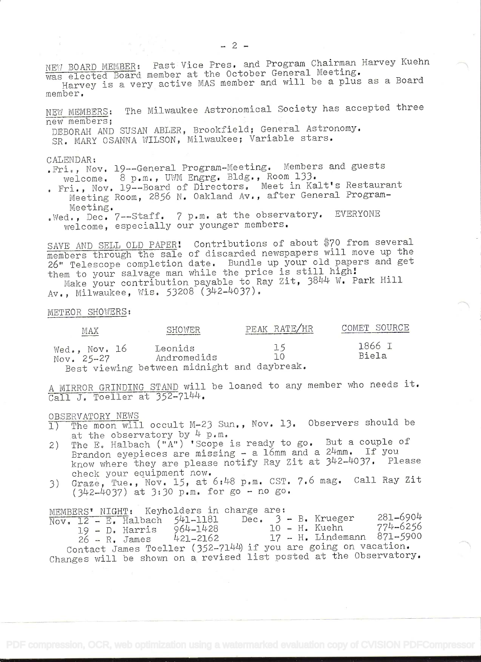NEW BOARD MEMBER: Past Vice Pres. and Program Chairman Harvey Kuehn was elected Board member at the October General Meeting. Harvey is a very active MAS member and will be a plus as a Board

member.

NEW MEMBERS: The Milwaukee Astronomical Society has accepted three new members;

DEBORAH AND SUSAN ABLER, Brookfield; General Astronomy. SR. MARY OSANNA WILSON, Milwaukee; Variable stars.

CALENDAR: .Fri., Nov. 19--General Program-Meeting. Members and guests welcome. 8 p.m., UWM Engrg. Bldg., Room 133.

- . Fri., Nov. 19--Board of Directors. Meet in Kalt's Restaurant Meeting Room, 2856 N. Oakland Av., after General Program-Meeting.
- .Wed., Dec. 7--Staff. 7 p.m. at the observatory. EVERYONE welcome, especially our younger members.

SAVE AND SELL OLD PAPER! Contributions of about \$70 from several members through the sale of discarded newspapers will move up the 26" Telescope completion date. Bundle up your old papers and get them to your salvage man while the price is still high!

Make your contribution payable to Ray Zit, 3844 W. Park Hill Av., Milwaukee, Wis. 53208 (342-4037).

METEOR SHOWERS:

| MAX                           | SHOWER                                                                | PEAK RATE/HR | COMET SOURCE    |  |  |
|-------------------------------|-----------------------------------------------------------------------|--------------|-----------------|--|--|
| Wed., Nov. 16<br>$Nov. 25-27$ | Leonids<br>Andromedids<br>Best viewing between midnight and daybreak. | 15<br>٦0     | 1866 I<br>Biela |  |  |

A MIRROR GRINDING STAND will be loaned to any member who needs it. Call J. Toeller at 352-7144.

- OBSERVATORY NEWS<br>1) The moon will occult M-23 Sun., Nov. 13. Observers should be at the observatory by  $4 p.m.$
- 2) The E. Halbach ("A") 'Scope is ready to go. But a couple of Brandon eyepieces are missing  $-$  a 16mm and a 24mm. If you know where they are please notify Ray Zit at 342-4037. Please check your equipment now.
- 3) Graze, Tue., Nov. 15, at  $6:48$  p.m. CST. 7.6 mag. Call Ray Zit (3L2\_LíO37) at 3:30 p.m. for go - no go.

MEMBERS' NIGHT: Keyholders in charge are:

|  |  |                  | $\overline{{\rm Nov.}}$ 12 - E. Halbach 541-1181                                                |  |  | Dec. 3 - B. Krueger | 281-6904                   |  |
|--|--|------------------|-------------------------------------------------------------------------------------------------|--|--|---------------------|----------------------------|--|
|  |  |                  | 964-1428                                                                                        |  |  | 10 – H. Kuehn       | 774–6256                   |  |
|  |  | 19 - D. Harris   |                                                                                                 |  |  |                     |                            |  |
|  |  | $26 - R$ . James | 421-2162                                                                                        |  |  |                     | 17 - H. Lindemann 871-5900 |  |
|  |  |                  | $G_{\text{cutoff}}$ Ignes $\text{mod}$ ler $(352.71 \text{ kHz})$ if you are going on vacation. |  |  |                     |                            |  |

Contact James Toeller (352-7144) if you are go: Changes will be shown on a revised list posted at the Observatory.